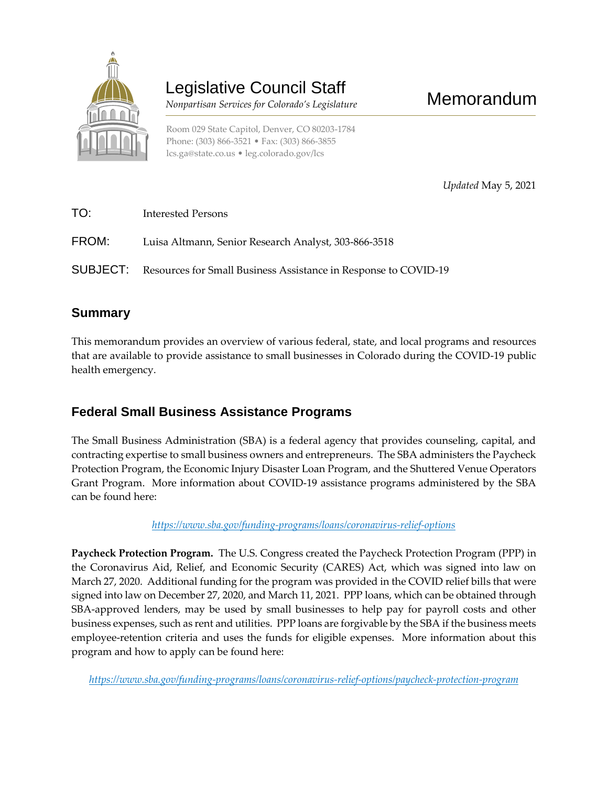

# Legislative Council Staff

 *Nonpartisan Services for Colorado's Legislature*

*Updated* May 5, 2021

Memorandum

| TO:   | Interested Persons                                                              |
|-------|---------------------------------------------------------------------------------|
| FROM: | Luisa Altmann, Senior Research Analyst, 303-866-3518                            |
|       | <b>SUBJECT:</b> Resources for Small Business Assistance in Response to COVID-19 |

# **Summary**

This memorandum provides an overview of various federal, state, and local programs and resources that are available to provide assistance to small businesses in Colorado during the COVID-19 public health emergency.

# **Federal Small Business Assistance Programs**

The Small Business Administration (SBA) is a federal agency that provides counseling, capital, and contracting expertise to small business owners and entrepreneurs. The SBA administers the Paycheck Protection Program, the Economic Injury Disaster Loan Program, and the Shuttered Venue Operators Grant Program. More information about COVID-19 assistance programs administered by the SBA can be found here:

*<https://www.sba.gov/funding-programs/loans/coronavirus-relief-options>*

**Paycheck Protection Program.** The U.S. Congress created the Paycheck Protection Program (PPP) in the Coronavirus Aid, Relief, and Economic Security (CARES) Act, which was signed into law on March 27, 2020. Additional funding for the program was provided in the COVID relief bills that were signed into law on December 27, 2020, and March 11, 2021. PPP loans, which can be obtained through SBA-approved lenders, may be used by small businesses to help pay for payroll costs and other business expenses, such as rent and utilities. PPP loans are forgivable by the SBA if the business meets employee-retention criteria and uses the funds for eligible expenses. More information about this program and how to apply can be found here:

*<https://www.sba.gov/funding-programs/loans/coronavirus-relief-options/paycheck-protection-program>*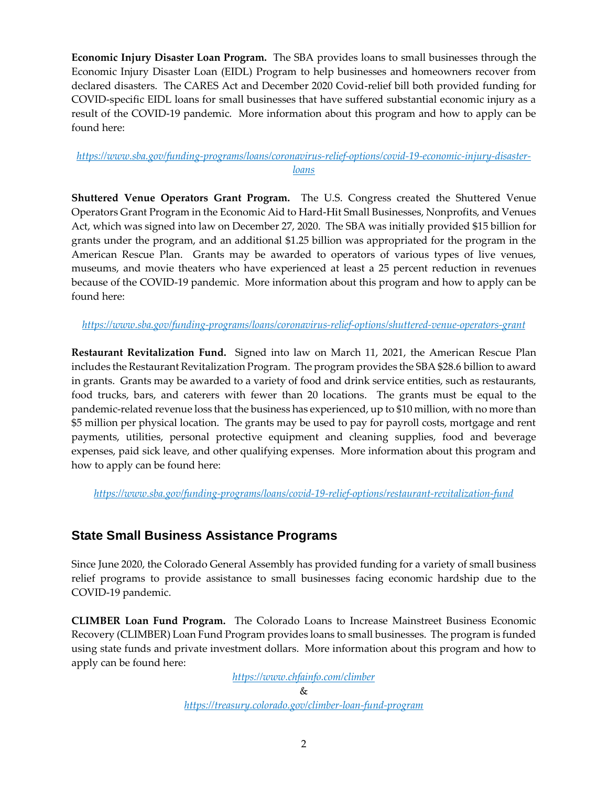**Economic Injury Disaster Loan Program.** The SBA provides loans to small businesses through the Economic Injury Disaster Loan (EIDL) Program to help businesses and homeowners recover from declared disasters. The CARES Act and December 2020 Covid-relief bill both provided funding for COVID-specific EIDL loans for small businesses that have suffered substantial economic injury as a result of the COVID-19 pandemic. More information about this program and how to apply can be found here:

### *[https://www.sba.gov/funding-programs/loans/coronavirus-relief-options/covid-19-economic-injury-disaster](https://www.sba.gov/funding-programs/loans/coronavirus-relief-options/covid-19-economic-injury-disaster-loans)[loans](https://www.sba.gov/funding-programs/loans/coronavirus-relief-options/covid-19-economic-injury-disaster-loans)*

**Shuttered Venue Operators Grant Program.** The U.S. Congress created the Shuttered Venue Operators Grant Program in the Economic Aid to Hard-Hit Small Businesses, Nonprofits, and Venues Act, which was signed into law on December 27, 2020. The SBA was initially provided \$15 billion for grants under the program, and an additional \$1.25 billion was appropriated for the program in the American Rescue Plan. Grants may be awarded to operators of various types of live venues, museums, and movie theaters who have experienced at least a 25 percent reduction in revenues because of the COVID-19 pandemic. More information about this program and how to apply can be found here:

*<https://www.sba.gov/funding-programs/loans/coronavirus-relief-options/shuttered-venue-operators-grant>*

**Restaurant Revitalization Fund.** Signed into law on March 11, 2021, the American Rescue Plan includes the Restaurant Revitalization Program. The program provides the SBA \$28.6 billion to award in grants. Grants may be awarded to a variety of food and drink service entities, such as restaurants, food trucks, bars, and caterers with fewer than 20 locations. The grants must be equal to the pandemic-related revenue loss that the business has experienced, up to \$10 million, with no more than \$5 million per physical location. The grants may be used to pay for payroll costs, mortgage and rent payments, utilities, personal protective equipment and cleaning supplies, food and beverage expenses, paid sick leave, and other qualifying expenses. More information about this program and how to apply can be found here:

*<https://www.sba.gov/funding-programs/loans/covid-19-relief-options/restaurant-revitalization-fund>*

# **State Small Business Assistance Programs**

Since June 2020, the Colorado General Assembly has provided funding for a variety of small business relief programs to provide assistance to small businesses facing economic hardship due to the COVID-19 pandemic.

**CLIMBER Loan Fund Program.** The Colorado Loans to Increase Mainstreet Business Economic Recovery (CLIMBER) Loan Fund Program provides loans to small businesses. The program is funded using state funds and private investment dollars. More information about this program and how to apply can be found here:

*<https://www.chfainfo.com/climber>*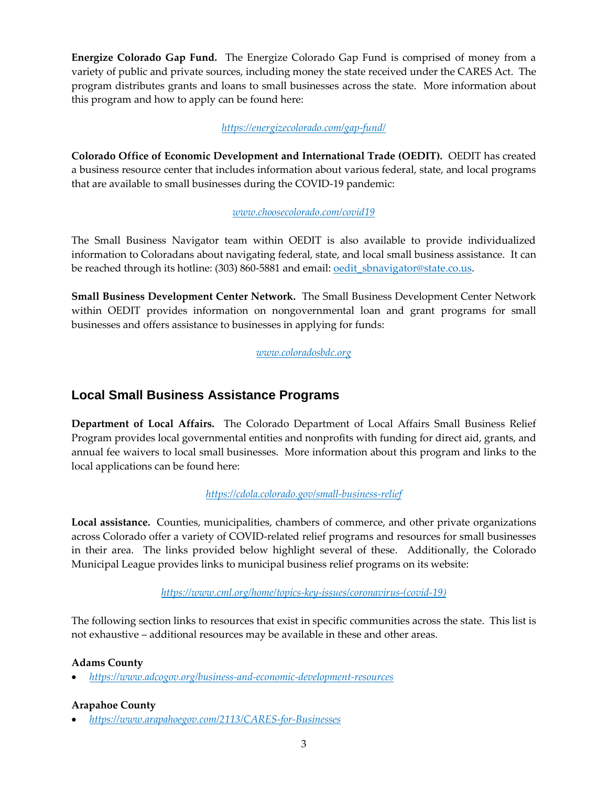**Energize Colorado Gap Fund.** The Energize Colorado Gap Fund is comprised of money from a variety of public and private sources, including money the state received under the CARES Act. The program distributes grants and loans to small businesses across the state. More information about this program and how to apply can be found here:

### *<https://energizecolorado.com/gap-fund/>*

**Colorado Office of Economic Development and International Trade (OEDIT).** OEDIT has created a business resource center that includes information about various federal, state, and local programs that are available to small businesses during the COVID-19 pandemic:

#### *[www.choosecolorado.com/covid19](http://www.choosecolorado.com/covid19)*

The Small Business Navigator team within OEDIT is also available to provide individualized information to Coloradans about navigating federal, state, and local small business assistance. It can be reached through its hotline: (303) 860-5881 and email: <u>oedit sbnavigator@state.co.us</u>.

**Small Business Development Center Network.** The Small Business Development Center Network within OEDIT provides information on nongovernmental loan and grant programs for small businesses and offers assistance to businesses in applying for funds:

*[www.coloradosbdc.org](http://www.coloradosbdc.org/)*

# **Local Small Business Assistance Programs**

**Department of Local Affairs.** The Colorado Department of Local Affairs Small Business Relief Program provides local governmental entities and nonprofits with funding for direct aid, grants, and annual fee waivers to local small businesses. More information about this program and links to the local applications can be found here:

### *<https://cdola.colorado.gov/small-business-relief>*

**Local assistance.** Counties, municipalities, chambers of commerce, and other private organizations across Colorado offer a variety of COVID-related relief programs and resources for small businesses in their area. The links provided below highlight several of these. Additionally, the Colorado Municipal League provides links to municipal business relief programs on its website:

#### *[https://www.cml.org/home/topics-key-issues/coronavirus-\(covid-19\)](https://www.cml.org/home/topics-key-issues/coronavirus-(covid-19))*

The following section links to resources that exist in specific communities across the state. This list is not exhaustive – additional resources may be available in these and other areas.

### **Adams County**

*<https://www.adcogov.org/business-and-economic-development-resources>*

#### **Arapahoe County**

*<https://www.arapahoegov.com/2113/CARES-for-Businesses>*